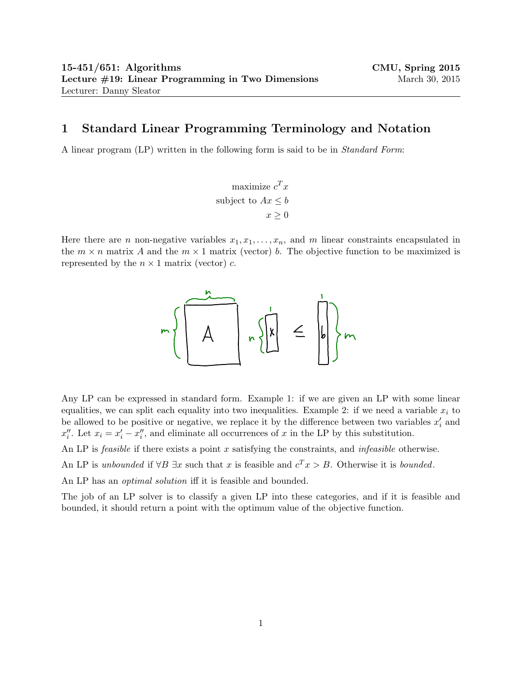## 1 Standard Linear Programming Terminology and Notation

A linear program (LP) written in the following form is said to be in *Standard Form*:

maximize  $c^T x$ subject to  $Ax \leq b$  $x \geq 0$ 

Here there are *n* non-negative variables  $x_1, x_1, \ldots, x_n$ , and *m* linear constraints encapsulated in the  $m \times n$  matrix A and the  $m \times 1$  matrix (vector) b. The objective function to be maximized is represented by the  $n \times 1$  matrix (vector) c.



Any LP can be expressed in standard form. Example 1: if we are given an LP with some linear equalities, we can split each equality into two inequalities. Example 2: if we need a variable  $x_i$  to be allowed to be positive or negative, we replace it by the difference between two variables  $x_i'$  and  $x_i''$ . Let  $x_i = x_i' - x_i''$ , and eliminate all occurrences of x in the LP by this substitution.

An LP is *feasible* if there exists a point x satisfying the constraints, and *infeasible* otherwise.

An LP is unbounded if  $\forall B \exists x$  such that x is feasible and  $c^T x > B$ . Otherwise it is bounded.

An LP has an *optimal solution* iff it is feasible and bounded.

The job of an LP solver is to classify a given LP into these categories, and if it is feasible and bounded, it should return a point with the optimum value of the objective function.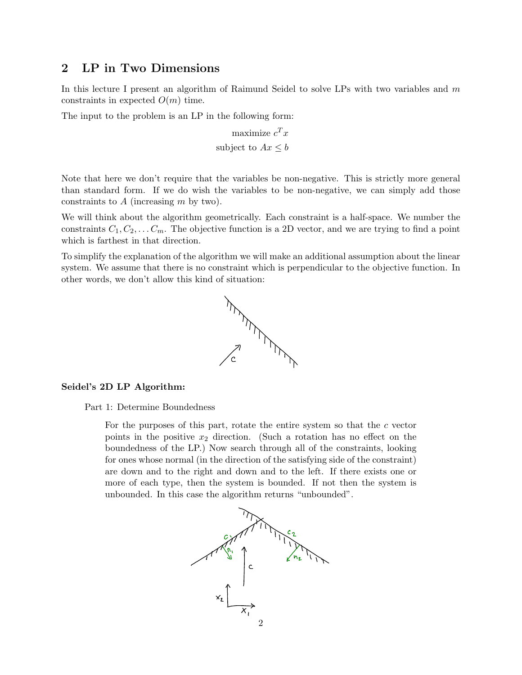## 2 LP in Two Dimensions

In this lecture I present an algorithm of Raimund Seidel to solve LPs with two variables and m constraints in expected  $O(m)$  time.

The input to the problem is an LP in the following form:

$$
\text{maximize } c^T x
$$
  
subject to  $Ax \leq b$ 

Note that here we don't require that the variables be non-negative. This is strictly more general than standard form. If we do wish the variables to be non-negative, we can simply add those constraints to  $A$  (increasing  $m$  by two).

We will think about the algorithm geometrically. Each constraint is a half-space. We number the constraints  $C_1, C_2, \ldots C_m$ . The objective function is a 2D vector, and we are trying to find a point which is farthest in that direction.

To simplify the explanation of the algorithm we will make an additional assumption about the linear system. We assume that there is no constraint which is perpendicular to the objective function. In other words, we don't allow this kind of situation:



## Seidel's 2D LP Algorithm:

Part 1: Determine Boundedness

for ones whose normal (in the direction of the satisfying side of the constraint) For the purposes of this part, rotate the entire system so that the c vector points in the positive  $x_2$  direction. (Such a rotation has no effect on the boundedness of the LP.) Now search through all of the constraints, looking are down and to the right and down and to the left. If there exists one or more of each type, then the system is bounded. If not then the system is unbounded. In this case the algorithm returns "unbounded".

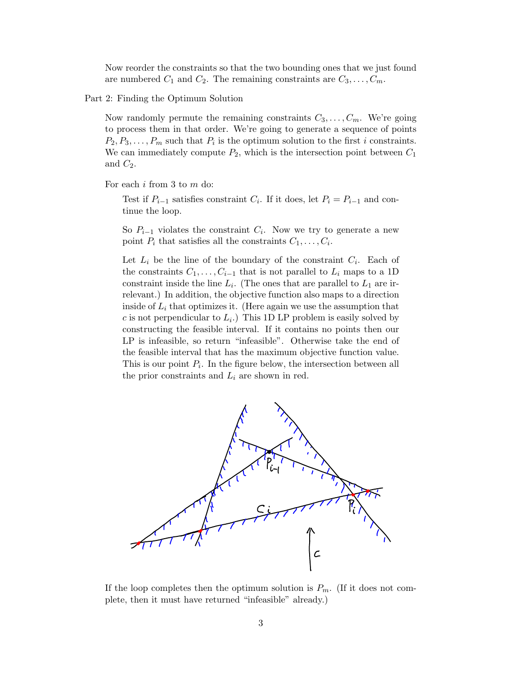Now reorder the constraints so that the two bounding ones that we just found are numbered  $C_1$  and  $C_2$ . The remaining constraints are  $C_3, \ldots, C_m$ .

Part 2: Finding the Optimum Solution

Now randomly permute the remaining constraints  $C_3, \ldots, C_m$ . We're going to process them in that order. We're going to generate a sequence of points  $P_2, P_3, \ldots, P_m$  such that  $P_i$  is the optimum solution to the first i constraints. We can immediately compute  $P_2$ , which is the intersection point between  $C_1$ and  $C_2$ .

For each i from 3 to m do:

Test if  $P_{i-1}$  satisfies constraint  $C_i$ . If it does, let  $P_i = P_{i-1}$  and continue the loop.

So  $P_{i-1}$  violates the constraint  $C_i$ . Now we try to generate a new point  $P_i$  that satisfies all the constraints  $C_1, \ldots, C_i$ .

Let  $L_i$  be the line of the boundary of the constraint  $C_i$ . Each of the constraints  $C_1, \ldots, C_{i-1}$  that is not parallel to  $L_i$  maps to a 1D constraint inside the line  $L_i$ . (The ones that are parallel to  $L_1$  are irrelevant.) In addition, the objective function also maps to a direction inside of  $L_i$  that optimizes it. (Here again we use the assumption that c is not perpendicular to  $L_i$ . This 1D LP problem is easily solved by constructing the feasible interval. If it contains no points then our  $LP$  is infeasible, so return "infeasible". Otherwise take the end of the feasible interval that has the maximum objective function value. This is our point  $P_i$ . In the figure below, the intersection between all the prior constraints and  $L_i$  are shown in red.



If the loop completes then the optimum solution is  $P_m$ . (If it does not complete, then it must have returned "infeasible" already.)